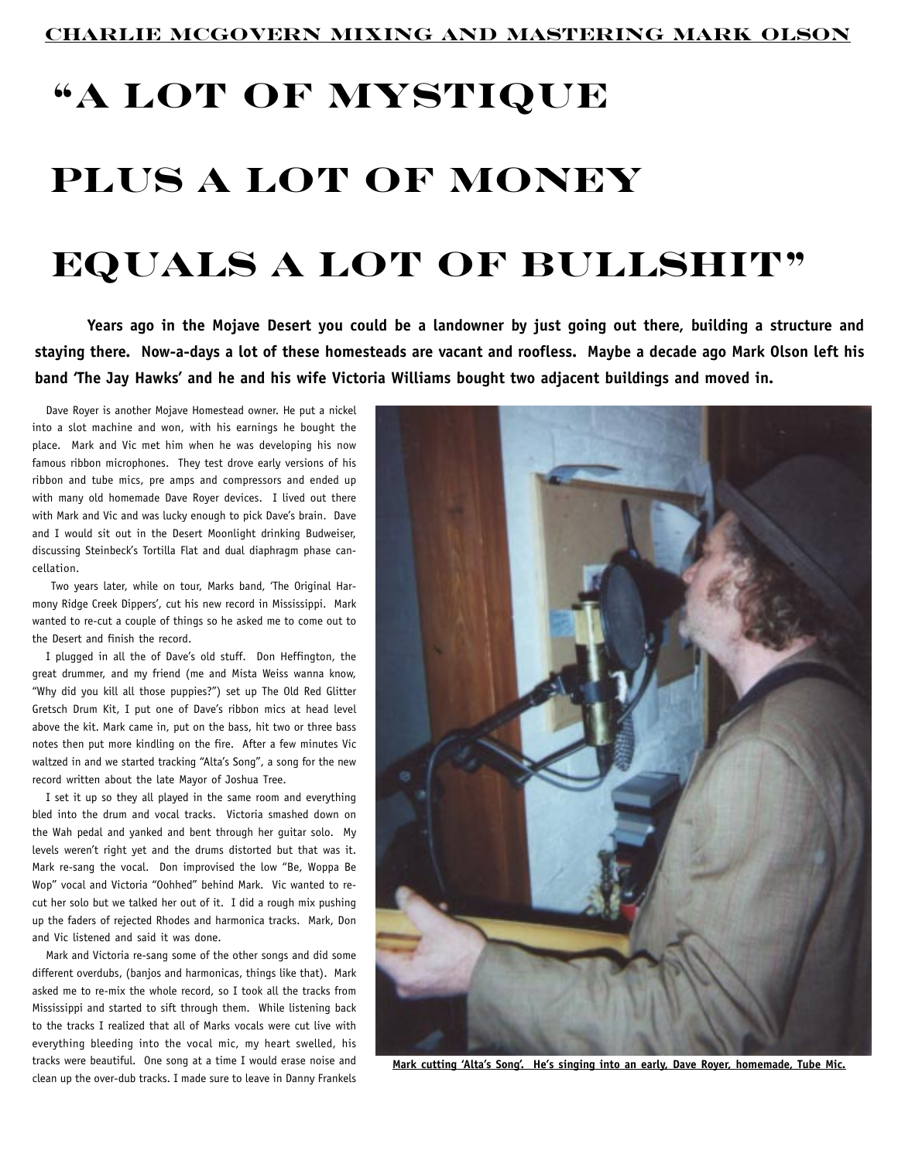## **"A Lot Of Mystique Plus A Lot Of Money Equals A Lot Of Bullshit"**

**Years ago in the Mojave Desert you could be a landowner by just going out there, building a structure and staying there. Now-a-days a lot of these homesteads are vacant and roofless. Maybe a decade ago Mark Olson left his band 'The Jay Hawks' and he and his wife Victoria Williams bought two adjacent buildings and moved in.**

Dave Royer is another Mojave Homestead owner. He put a nickel into a slot machine and won, with his earnings he bought the place. Mark and Vic met him when he was developing his now famous ribbon microphones. They test drove early versions of his ribbon and tube mics, pre amps and compressors and ended up with many old homemade Dave Royer devices. I lived out there with Mark and Vic and was lucky enough to pick Dave's brain. Dave and I would sit out in the Desert Moonlight drinking Budweiser, discussing Steinbeck's Tortilla Flat and dual diaphragm phase cancellation.

 Two years later, while on tour, Marks band, 'The Original Harmony Ridge Creek Dippers', cut his new record in Mississippi. Mark wanted to re-cut a couple of things so he asked me to come out to the Desert and finish the record.

I plugged in all the of Dave's old stuff. Don Heffington, the great drummer, and my friend (me and Mista Weiss wanna know, "Why did you kill all those puppies?") set up The Old Red Glitter Gretsch Drum Kit, I put one of Dave's ribbon mics at head level above the kit. Mark came in, put on the bass, hit two or three bass notes then put more kindling on the fire. After a few minutes Vic waltzed in and we started tracking "Alta's Song", a song for the new record written about the late Mayor of Joshua Tree.

I set it up so they all played in the same room and everything bled into the drum and vocal tracks. Victoria smashed down on the Wah pedal and yanked and bent through her guitar solo. My levels weren't right yet and the drums distorted but that was it. Mark re-sang the vocal. Don improvised the low "Be, Woppa Be Wop" vocal and Victoria "Oohhed" behind Mark. Vic wanted to recut her solo but we talked her out of it. I did a rough mix pushing up the faders of rejected Rhodes and harmonica tracks. Mark, Don and Vic listened and said it was done.

Mark and Victoria re-sang some of the other songs and did some different overdubs, (banjos and harmonicas, things like that). Mark asked me to re-mix the whole record, so I took all the tracks from Mississippi and started to sift through them. While listening back to the tracks I realized that all of Marks vocals were cut live with everything bleeding into the vocal mic, my heart swelled, his tracks were beautiful. One song at a time I would erase noise and clean up the over-dub tracks. I made sure to leave in Danny Frankels



**Mark cutting 'Alta's Song'. He's singing into an early, Dave Royer, homemade, Tube Mic.**